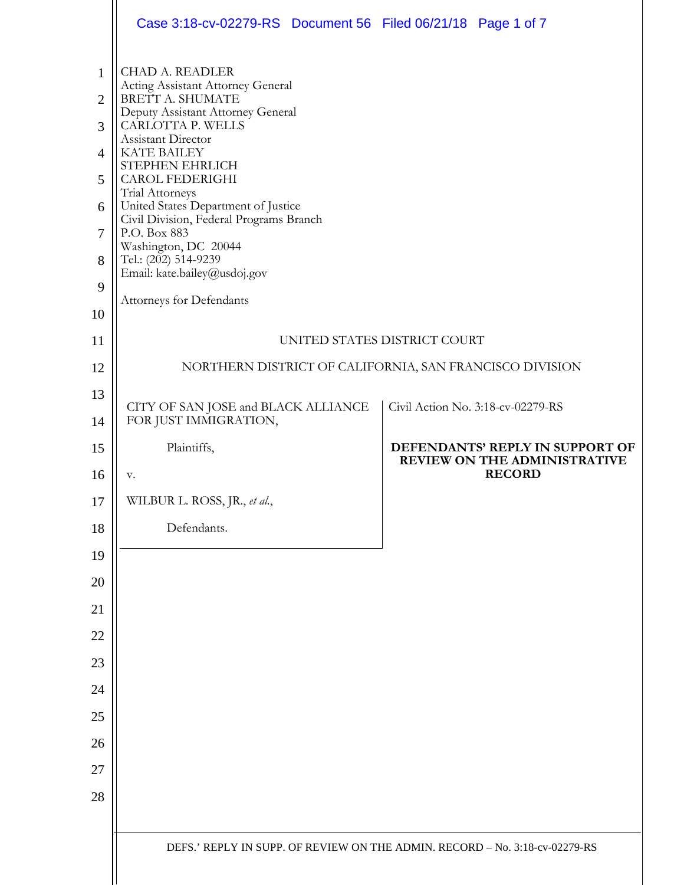|                | Case 3:18-cv-02279-RS  Document 56  Filed 06/21/18  Page 1 of 7                |                                                                                  |  |
|----------------|--------------------------------------------------------------------------------|----------------------------------------------------------------------------------|--|
| 1              | <b>CHAD A. READLER</b><br>Acting Assistant Attorney General                    |                                                                                  |  |
| $\overline{2}$ | BRETT A. SHUMATE<br>Deputy Assistant Attorney General                          |                                                                                  |  |
| 3              | CARLOTTA P. WELLS<br>Assistant Director                                        |                                                                                  |  |
| $\overline{4}$ | <b>KATE BAILEY</b><br>STEPHEN EHRLICH                                          |                                                                                  |  |
| 5              | <b>CAROL FEDERIGHI</b><br>Trial Attorneys                                      |                                                                                  |  |
| 6              | United States Department of Justice<br>Civil Division, Federal Programs Branch |                                                                                  |  |
| $\overline{7}$ | P.O. Box 883<br>Washington, DC 20044                                           |                                                                                  |  |
| 8              | Tel.: (202) 514-9239<br>Email: kate.bailey@usdoj.gov                           |                                                                                  |  |
| 9              | Attorneys for Defendants                                                       |                                                                                  |  |
| 10             |                                                                                |                                                                                  |  |
| 11             | UNITED STATES DISTRICT COURT                                                   |                                                                                  |  |
| 12             | NORTHERN DISTRICT OF CALIFORNIA, SAN FRANCISCO DIVISION                        |                                                                                  |  |
| 13<br>14       | CITY OF SAN JOSE and BLACK ALLIANCE<br>FOR JUST IMMIGRATION,                   | Civil Action No. 3:18-cv-02279-RS                                                |  |
| 15<br>16       | Plaintiffs,<br>v.                                                              | DEFENDANTS' REPLY IN SUPPORT OF<br>REVIEW ON THE ADMINISTRATIVE<br><b>RECORD</b> |  |
| 17             | WILBUR L. ROSS, JR., et al.,                                                   |                                                                                  |  |
| 18             | Defendants.                                                                    |                                                                                  |  |
| 19             |                                                                                |                                                                                  |  |
| 20             |                                                                                |                                                                                  |  |
| 21             |                                                                                |                                                                                  |  |
| 22             |                                                                                |                                                                                  |  |
| 23             |                                                                                |                                                                                  |  |
| 24             |                                                                                |                                                                                  |  |
| 25             |                                                                                |                                                                                  |  |
| 26             |                                                                                |                                                                                  |  |
| 27             |                                                                                |                                                                                  |  |
| 28             |                                                                                |                                                                                  |  |
|                |                                                                                |                                                                                  |  |
|                | DEFS.' REPLY IN SUPP. OF REVIEW ON THE ADMIN. RECORD - No. 3:18-cv-02279-RS    |                                                                                  |  |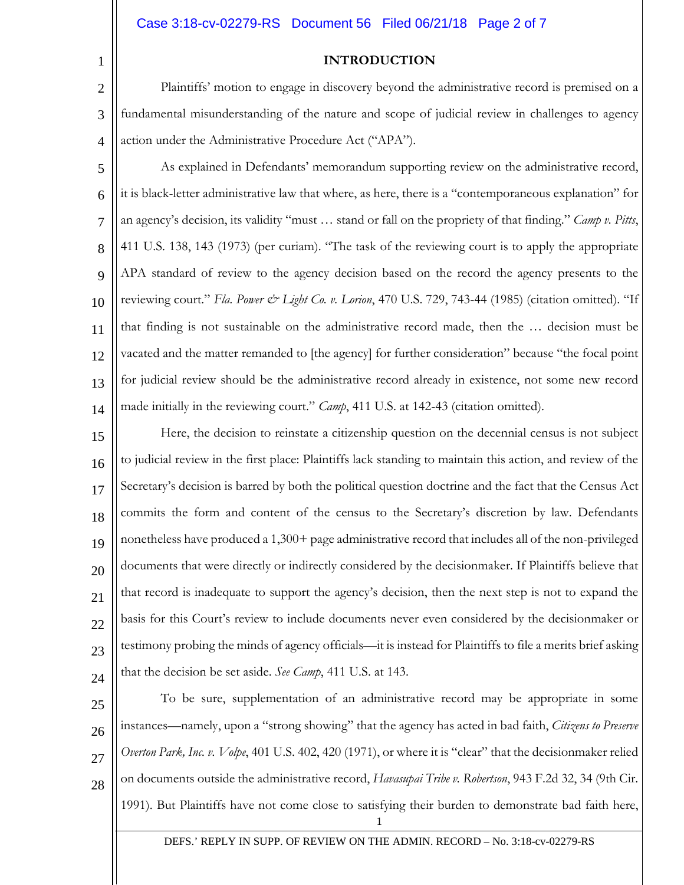#### Case 3:18-cv-02279-RS Document 56 Filed 06/21/18 Page 2 of 7

1

## **INTRODUCTION**

2 3 4 Plaintiffs' motion to engage in discovery beyond the administrative record is premised on a fundamental misunderstanding of the nature and scope of judicial review in challenges to agency action under the Administrative Procedure Act ("APA").

5 6 7 8 9 10 11 12 13 14 As explained in Defendants' memorandum supporting review on the administrative record, it is black-letter administrative law that where, as here, there is a "contemporaneous explanation" for an agency's decision, its validity "must … stand or fall on the propriety of that finding." *Camp v. Pitts*, 411 U.S. 138, 143 (1973) (per curiam). "The task of the reviewing court is to apply the appropriate APA standard of review to the agency decision based on the record the agency presents to the reviewing court." *Fla. Power & Light Co. v. Lorion*, 470 U.S. 729, 743-44 (1985) (citation omitted). "If that finding is not sustainable on the administrative record made, then the … decision must be vacated and the matter remanded to [the agency] for further consideration" because "the focal point for judicial review should be the administrative record already in existence, not some new record made initially in the reviewing court." *Camp*, 411 U.S. at 142-43 (citation omitted).

15 16 17 18 19 20 21 22 23 24 Here, the decision to reinstate a citizenship question on the decennial census is not subject to judicial review in the first place: Plaintiffs lack standing to maintain this action, and review of the Secretary's decision is barred by both the political question doctrine and the fact that the Census Act commits the form and content of the census to the Secretary's discretion by law. Defendants nonetheless have produced a 1,300+ page administrative record that includes all of the non-privileged documents that were directly or indirectly considered by the decisionmaker. If Plaintiffs believe that that record is inadequate to support the agency's decision, then the next step is not to expand the basis for this Court's review to include documents never even considered by the decisionmaker or testimony probing the minds of agency officials—it is instead for Plaintiffs to file a merits brief asking that the decision be set aside. *See Camp*, 411 U.S. at 143.

25 26 27 28 To be sure, supplementation of an administrative record may be appropriate in some instances—namely, upon a "strong showing" that the agency has acted in bad faith, *Citizens to Preserve Overton Park, Inc. v. Volpe*, 401 U.S. 402, 420 (1971), or where it is "clear" that the decisionmaker relied on documents outside the administrative record, *Havasupai Tribe v. Robertson*, 943 F.2d 32, 34 (9th Cir. 1991). But Plaintiffs have not come close to satisfying their burden to demonstrate bad faith here,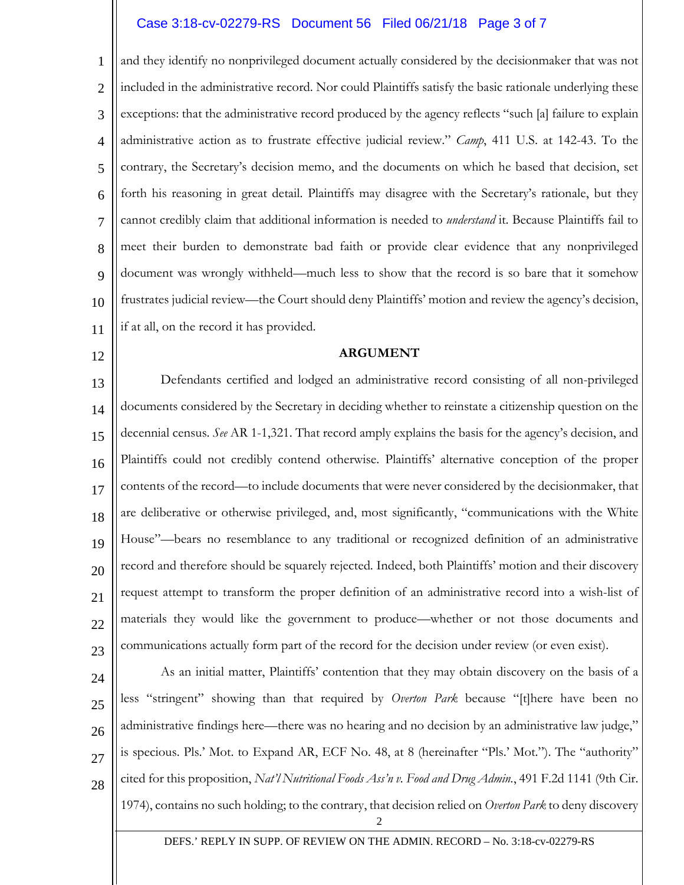## Case 3:18-cv-02279-RS Document 56 Filed 06/21/18 Page 3 of 7

1 2 3 4 5 6 7 8 9 10 11 and they identify no nonprivileged document actually considered by the decisionmaker that was not included in the administrative record. Nor could Plaintiffs satisfy the basic rationale underlying these exceptions: that the administrative record produced by the agency reflects "such [a] failure to explain administrative action as to frustrate effective judicial review." *Camp*, 411 U.S. at 142-43. To the contrary, the Secretary's decision memo, and the documents on which he based that decision, set forth his reasoning in great detail. Plaintiffs may disagree with the Secretary's rationale, but they cannot credibly claim that additional information is needed to *understand* it. Because Plaintiffs fail to meet their burden to demonstrate bad faith or provide clear evidence that any nonprivileged document was wrongly withheld—much less to show that the record is so bare that it somehow frustrates judicial review—the Court should deny Plaintiffs' motion and review the agency's decision, if at all, on the record it has provided.

12

#### **ARGUMENT**

13 14 15 16 17 18 19 20 21 22 23 Defendants certified and lodged an administrative record consisting of all non-privileged documents considered by the Secretary in deciding whether to reinstate a citizenship question on the decennial census. *See* AR 1-1,321. That record amply explains the basis for the agency's decision, and Plaintiffs could not credibly contend otherwise. Plaintiffs' alternative conception of the proper contents of the record—to include documents that were never considered by the decisionmaker, that are deliberative or otherwise privileged, and, most significantly, "communications with the White House"—bears no resemblance to any traditional or recognized definition of an administrative record and therefore should be squarely rejected. Indeed, both Plaintiffs' motion and their discovery request attempt to transform the proper definition of an administrative record into a wish-list of materials they would like the government to produce—whether or not those documents and communications actually form part of the record for the decision under review (or even exist).

- 24
- 25

26 27

28

As an initial matter, Plaintiffs' contention that they may obtain discovery on the basis of a less "stringent" showing than that required by *Overton Park* because "[t]here have been no administrative findings here—there was no hearing and no decision by an administrative law judge," is specious. Pls.' Mot. to Expand AR, ECF No. 48, at 8 (hereinafter "Pls.' Mot."). The "authority" cited for this proposition, *Nat'l Nutritional Foods Ass'n v. Food and Drug Admin.*, 491 F.2d 1141 (9th Cir. 1974), contains no such holding; to the contrary, that decision relied on *Overton Park* to deny discovery

2

DEFS.' REPLY IN SUPP. OF REVIEW ON THE ADMIN. RECORD – No. 3:18-cv-02279-RS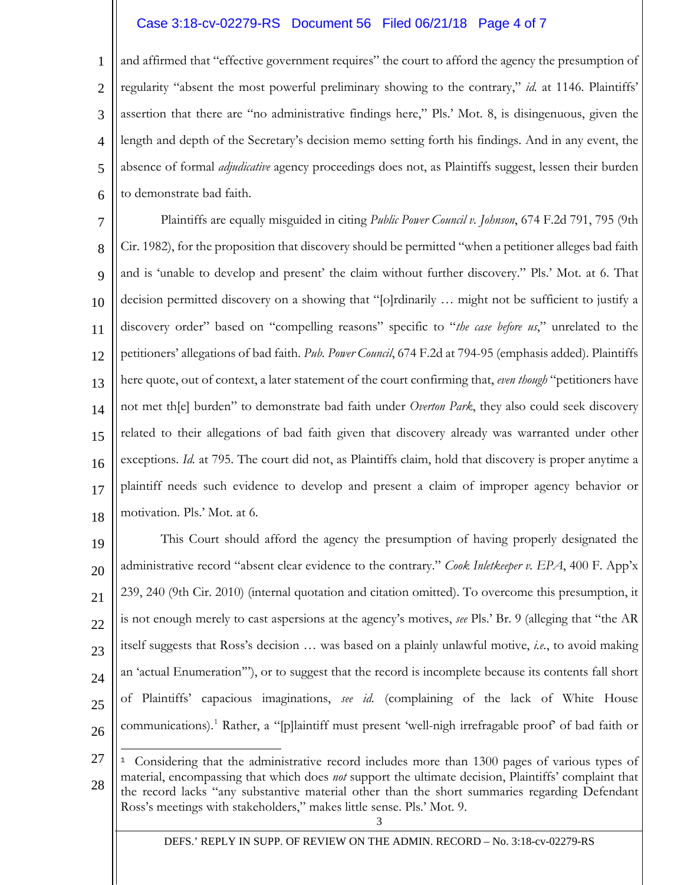# Case 3:18-cv-02279-RS Document 56 Filed 06/21/18 Page 4 of 7

1 2 3 4 5 6 and affirmed that "effective government requires" the court to afford the agency the presumption of regularity "absent the most powerful preliminary showing to the contrary," *id.* at 1146. Plaintiffs' assertion that there are "no administrative findings here," Pls.' Mot. 8, is disingenuous, given the length and depth of the Secretary's decision memo setting forth his findings. And in any event, the absence of formal *adjudicative* agency proceedings does not, as Plaintiffs suggest, lessen their burden to demonstrate bad faith.

7 8 9 10 11 12 13 14 15 16 17 18 Plaintiffs are equally misguided in citing *Public Power Council v. Johnson*, 674 F.2d 791, 795 (9th Cir. 1982), for the proposition that discovery should be permitted "when a petitioner alleges bad faith and is 'unable to develop and present' the claim without further discovery." Pls.' Mot. at 6. That decision permitted discovery on a showing that "[o]rdinarily … might not be sufficient to justify a discovery order" based on "compelling reasons" specific to "*the case before us*," unrelated to the petitioners' allegations of bad faith. *Pub. Power Council*, 674 F.2d at 794-95 (emphasis added). Plaintiffs here quote, out of context, a later statement of the court confirming that, *even though* "petitioners have not met th[e] burden" to demonstrate bad faith under *Overton Park*, they also could seek discovery related to their allegations of bad faith given that discovery already was warranted under other exceptions. *Id.* at 795. The court did not, as Plaintiffs claim, hold that discovery is proper anytime a plaintiff needs such evidence to develop and present a claim of improper agency behavior or motivation. Pls.' Mot. at 6.

19 20 21 22 23 24 25 26 This Court should afford the agency the presumption of having properly designated the administrative record "absent clear evidence to the contrary." *Cook Inletkeeper v. EPA*, 400 F. App'x 239, 240 (9th Cir. 2010) (internal quotation and citation omitted). To overcome this presumption, it is not enough merely to cast aspersions at the agency's motives, *see* Pls.' Br. 9 (alleging that "the AR itself suggests that Ross's decision … was based on a plainly unlawful motive, *i.e.*, to avoid making an 'actual Enumeration'"), or to suggest that the record is incomplete because its contents fall short of Plaintiffs' capacious imaginations, *see id.* (complaining of the lack of White House communications).<sup>[1](#page-3-0)</sup> Rather, a "[p]laintiff must present 'well-nigh irrefragable proof' of bad faith or

<span id="page-3-0"></span>3 27 28 Ξ <sup>1</sup> Considering that the administrative record includes more than 1300 pages of various types of material, encompassing that which does *not* support the ultimate decision, Plaintiffs' complaint that the record lacks "any substantive material other than the short summaries regarding Defendant Ross's meetings with stakeholders," makes little sense. Pls.' Mot. 9.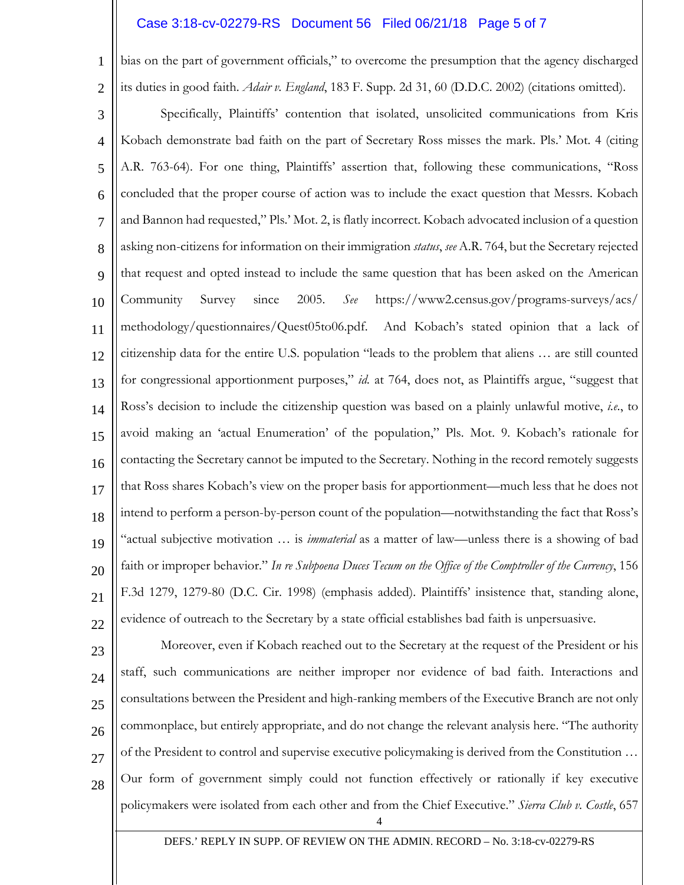## Case 3:18-cv-02279-RS Document 56 Filed 06/21/18 Page 5 of 7

1

2

bias on the part of government officials," to overcome the presumption that the agency discharged its duties in good faith. *Adair v. England*, 183 F. Supp. 2d 31, 60 (D.D.C. 2002) (citations omitted).

3 4 5 6 7 8 9 10 11 12 13 14 15 16 17 18 19 20 21 22 Specifically, Plaintiffs' contention that isolated, unsolicited communications from Kris Kobach demonstrate bad faith on the part of Secretary Ross misses the mark. Pls.' Mot. 4 (citing A.R. 763-64). For one thing, Plaintiffs' assertion that, following these communications, "Ross concluded that the proper course of action was to include the exact question that Messrs. Kobach and Bannon had requested," Pls.' Mot. 2, is flatly incorrect. Kobach advocated inclusion of a question asking non-citizens for information on their immigration *status*, *see* A.R. 764, but the Secretary rejected that request and opted instead to include the same question that has been asked on the American Community Survey since 2005. *See* https://www2.census.gov/programs-surveys/acs/ methodology/questionnaires/Quest05to06.pdf. And Kobach's stated opinion that a lack of citizenship data for the entire U.S. population "leads to the problem that aliens … are still counted for congressional apportionment purposes," *id.* at 764, does not, as Plaintiffs argue, "suggest that Ross's decision to include the citizenship question was based on a plainly unlawful motive, *i.e.*, to avoid making an 'actual Enumeration' of the population," Pls. Mot. 9. Kobach's rationale for contacting the Secretary cannot be imputed to the Secretary. Nothing in the record remotely suggests that Ross shares Kobach's view on the proper basis for apportionment—much less that he does not intend to perform a person-by-person count of the population—notwithstanding the fact that Ross's "actual subjective motivation … is *immaterial* as a matter of law—unless there is a showing of bad faith or improper behavior." *In re Subpoena Duces Tecum on the Office of the Comptroller of the Currency*, 156 F.3d 1279, 1279-80 (D.C. Cir. 1998) (emphasis added). Plaintiffs' insistence that, standing alone, evidence of outreach to the Secretary by a state official establishes bad faith is unpersuasive.

23 24 25 26 27 28 Moreover, even if Kobach reached out to the Secretary at the request of the President or his staff, such communications are neither improper nor evidence of bad faith. Interactions and consultations between the President and high-ranking members of the Executive Branch are not only commonplace, but entirely appropriate, and do not change the relevant analysis here. "The authority of the President to control and supervise executive policymaking is derived from the Constitution … Our form of government simply could not function effectively or rationally if key executive policymakers were isolated from each other and from the Chief Executive." *Sierra Club v. Costle*, 657

4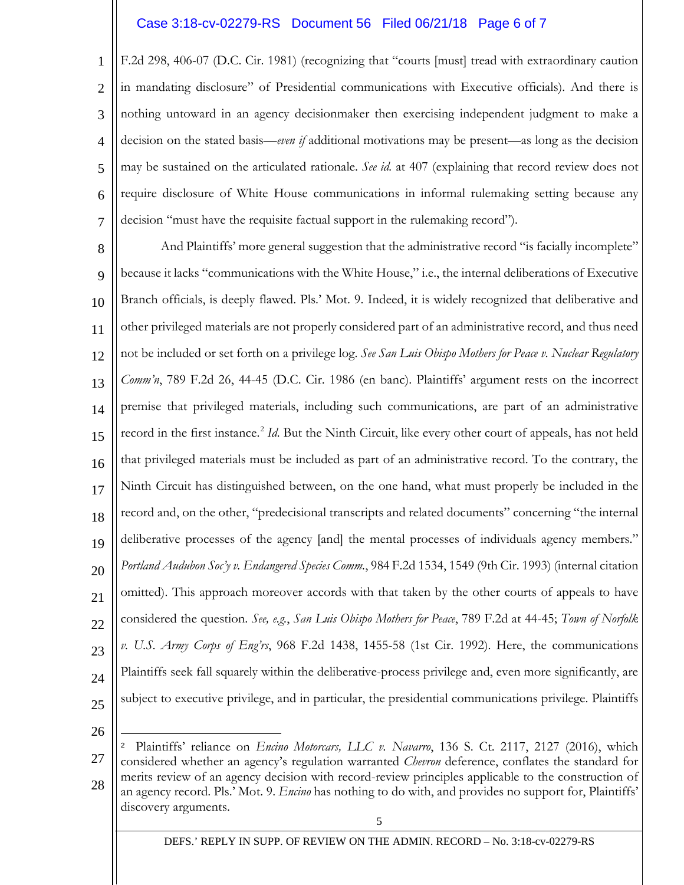# Case 3:18-cv-02279-RS Document 56 Filed 06/21/18 Page 6 of 7

1 2 3 4 5 6 7 F.2d 298, 406-07 (D.C. Cir. 1981) (recognizing that "courts [must] tread with extraordinary caution in mandating disclosure" of Presidential communications with Executive officials). And there is nothing untoward in an agency decisionmaker then exercising independent judgment to make a decision on the stated basis—*even if* additional motivations may be present—as long as the decision may be sustained on the articulated rationale. *See id.* at 407 (explaining that record review does not require disclosure of White House communications in informal rulemaking setting because any decision "must have the requisite factual support in the rulemaking record").

8 9 10 11 12 13 14 15 16 17 18 19 20 21 22 23 24 25 And Plaintiffs' more general suggestion that the administrative record "is facially incomplete" because it lacks "communications with the White House," i.e., the internal deliberations of Executive Branch officials, is deeply flawed. Pls.' Mot. 9. Indeed, it is widely recognized that deliberative and other privileged materials are not properly considered part of an administrative record, and thus need not be included or set forth on a privilege log. *See San Luis Obispo Mothers for Peace v. Nuclear Regulatory Comm'n*, 789 F.2d 26, 44-45 (D.C. Cir. 1986 (en banc). Plaintiffs' argument rests on the incorrect premise that privileged materials, including such communications, are part of an administrative record in the first instance.<sup>[2](#page-5-0)</sup> *Id*. But the Ninth Circuit, like every other court of appeals, has not held that privileged materials must be included as part of an administrative record. To the contrary, the Ninth Circuit has distinguished between, on the one hand, what must properly be included in the record and, on the other, "predecisional transcripts and related documents" concerning "the internal deliberative processes of the agency [and] the mental processes of individuals agency members." *Portland Audubon Soc'y v. Endangered Species Comm.*, 984 F.2d 1534, 1549 (9th Cir. 1993) (internal citation omitted). This approach moreover accords with that taken by the other courts of appeals to have considered the question. *See, e.g.*, *San Luis Obispo Mothers for Peace*, 789 F.2d at 44-45; *Town of Norfolk v. U.S. Army Corps of Eng'rs*, 968 F.2d 1438, 1455-58 (1st Cir. 1992). Here, the communications Plaintiffs seek fall squarely within the deliberative-process privilege and, even more significantly, are subject to executive privilege, and in particular, the presidential communications privilege. Plaintiffs

26

Ξ

<span id="page-5-0"></span>27 28 <sup>2</sup> Plaintiffs' reliance on *Encino Motorcars, LLC v. Navarro*, 136 S. Ct. 2117, 2127 (2016), which considered whether an agency's regulation warranted *Chevron* deference, conflates the standard for merits review of an agency decision with record-review principles applicable to the construction of an agency record. Pls.' Mot. 9. *Encino* has nothing to do with, and provides no support for, Plaintiffs' discovery arguments.